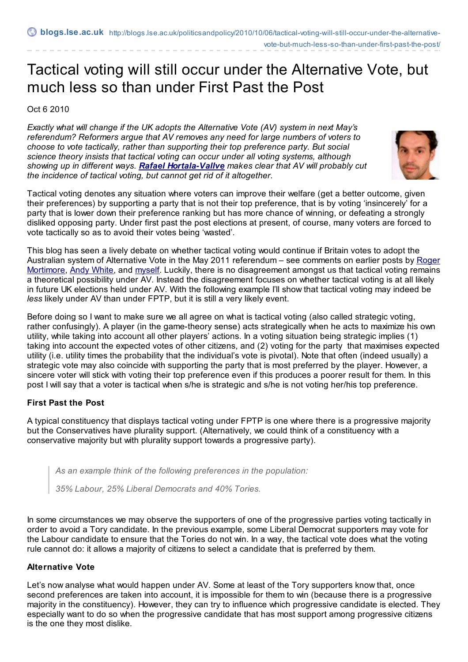vote-but-much-less-so-than-under-first-past-the-post/

# Tactical voting will still occur under the Alternative Vote, but much less so than under First Past the Post

Oct 6 2010

*Exactly what will change if the UK adopts the Alternative Vote (AV) system in next May's referendum? Reformers argue that AV removes any need for large numbers of voters to choose to vote tactically, rather than supporting their top preference party. But social science theory insists that tactical voting can occur under all voting systems, although showing up in different ways. Rafael [Hortala-Vallve](http://blogs.lse.ac.uk/politicsandpolicy/contributors/#Rafael_Hortala-Vallve) makes clear that AV will probably cut the incidence of tactical voting, but cannot get rid of it altogether.*



Tactical voting denotes any situation where voters can improve their welfare (get a better outcome, given their preferences) by supporting a party that is not their top preference, that is by voting 'insincerely' for a party that is lower down their preference ranking but has more chance of winning, or defeating a strongly disliked opposing party. Under first past the post elections at present, of course, many voters are forced to vote tactically so as to avoid their votes being 'wasted'.

This blog has seen a lively debate on whether tactical voting would continue if Britain votes to adopt the Australian system of Alternative Vote in the May 2011 [referendum](http://blogs.lse.ac.uk/politicsandpolicy/?p=3825) – see comments on earlier posts by Roger Mortimore, Andy [White](http://blogs.lse.ac.uk/politicsandpolicy/?p=3915), and [myself](http://blogs.lse.ac.uk/politicsandpolicy/?p=3342). Luckily, there is no disagreement amongst us that tactical voting remains a theoretical possibility under AV. Instead the disagreement focuses on whether tactical voting is at all likely in future UK elections held under AV. With the following example I'll show that tactical voting may indeed be *less* likely under AV than under FPTP, but it is still a very likely event.

Before doing so I want to make sure we all agree on what is tactical voting (also called strategic voting, rather confusingly). A player (in the game-theory sense) acts strategically when he acts to maximize his own utility, while taking into account all other players' actions. In a voting situation being strategic implies (1) taking into account the expected votes of other citizens, and (2) voting for the party that maximises expected utility (i.e. utility times the probability that the individual's vote is pivotal). Note that often (indeed usually) a strategic vote may also coincide with supporting the party that is most preferred by the player. However, a sincere voter will stick with voting their top preference even if this produces a poorer result for them. In this post I will say that a voter is tactical when s/he is strategic and s/he is not voting her/his top preference.

## **First Past the Post**

A typical constituency that displays tactical voting under FPTP is one where there is a progressive majority but the Conservatives have plurality support. (Alternatively, we could think of a constituency with a conservative majority but with plurality support towards a progressive party).

*As an example think of the following preferences in the population:*

*35% Labour, 25% Liberal Democrats and 40% Tories.*

In some circumstances we may observe the supporters of one of the progressive parties voting tactically in order to avoid a Tory candidate. In the previous example, some Liberal Democrat supporters may vote for the Labour candidate to ensure that the Tories do not win. In a way, the tactical vote does what the voting rule cannot do: it allows a majority of citizens to select a candidate that is preferred by them.

### **Alternative Vote**

Let's now analyse what would happen under AV. Some at least of the Tory supporters know that, once second preferences are taken into account, it is impossible for them to win (because there is a progressive majority in the constituency). However, they can try to influence which progressive candidate is elected. They especially want to do so when the progressive candidate that has most support among progressive citizens is the one they most dislike.